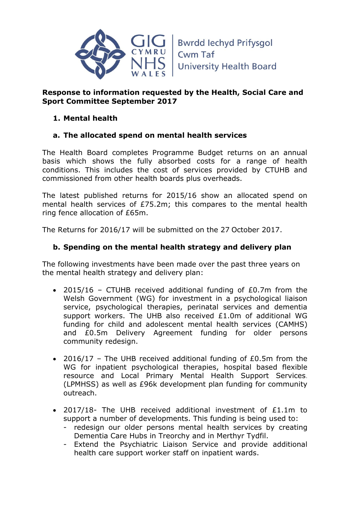

**Bwrdd lechyd Prifysgol** Cwm Taf **University Health Board** 

### **Response to information requested by the Health, Social Care and Sport Committee September 2017**

## **1. Mental health**

## **a. The allocated spend on mental health services**

The Health Board completes Programme Budget returns on an annual basis which shows the fully absorbed costs for a range of health conditions. This includes the cost of services provided by CTUHB and commissioned from other health boards plus overheads.

The latest published returns for 2015/16 show an allocated spend on mental health services of £75.2m; this compares to the mental health ring fence allocation of £65m.

The Returns for 2016/17 will be submitted on the 27 October 2017.

## **b. Spending on the mental health strategy and delivery plan**

The following investments have been made over the past three years on the mental health strategy and delivery plan:

- 2015/16 CTUHB received additional funding of £0.7m from the Welsh Government (WG) for investment in a psychological liaison service, psychological therapies, perinatal services and dementia support workers. The UHB also received £1.0m of additional WG funding for child and adolescent mental health services (CAMHS) and £0.5m Delivery Agreement funding for older persons community redesign.
- 2016/17 The UHB received additional funding of £0.5m from the WG for inpatient psychological therapies, hospital based flexible resource and Local Primary Mental Health Support Services. (LPMHSS) as well as £96k development plan funding for community outreach.
- 2017/18- The UHB received additional investment of £1.1m to support a number of developments. This funding is being used to:
	- redesign our older persons mental health services by creating Dementia Care Hubs in Treorchy and in Merthyr Tydfil.
	- Extend the Psychiatric Liaison Service and provide additional health care support worker staff on inpatient wards.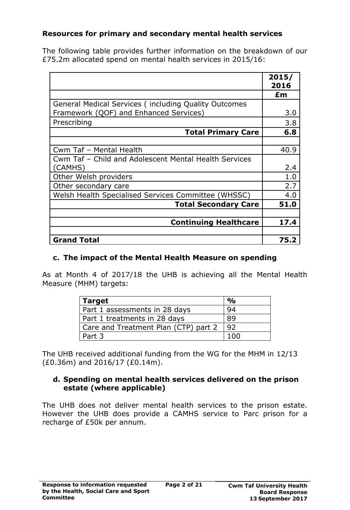# **Resources for primary and secondary mental health services**

The following table provides further information on the breakdown of our £75.2m allocated spend on mental health services in 2015/16:

|                                                       | 2015/<br>2016 |
|-------------------------------------------------------|---------------|
|                                                       | £m            |
| General Medical Services (including Quality Outcomes  |               |
| Framework (QOF) and Enhanced Services)                | 3.0           |
| Prescribing                                           | 3.8           |
| <b>Total Primary Care</b>                             | 6.8           |
|                                                       |               |
| Cwm Taf - Mental Health                               | 40.9          |
| Cwm Taf - Child and Adolescent Mental Health Services |               |
| (CAMHS)                                               | 2.4           |
| Other Welsh providers                                 | 1.0           |
| Other secondary care                                  | 2.7           |
| Welsh Health Specialised Services Committee (WHSSC)   | 4.0           |
| <b>Total Secondary Care</b>                           | 51.0          |
|                                                       |               |
| <b>Continuing Healthcare</b>                          | 17.4          |
| <b>Grand Total</b>                                    | 75.2          |

## **c. The impact of the Mental Health Measure on spending**

As at Month 4 of 2017/18 the UHB is achieving all the Mental Health Measure (MHM) targets:

| Target                               | $\frac{1}{2}$ |
|--------------------------------------|---------------|
| Part 1 assessments in 28 days        | 94            |
| Part 1 treatments in 28 days         | 89            |
| Care and Treatment Plan (CTP) part 2 | 92            |
| Part 3                               |               |

The UHB received additional funding from the WG for the MHM in 12/13 (£0.36m) and 2016/17 (£0.14m).

### **d. Spending on mental health services delivered on the prison estate (where applicable)**

The UHB does not deliver mental health services to the prison estate. However the UHB does provide a CAMHS service to Parc prison for a recharge of £50k per annum.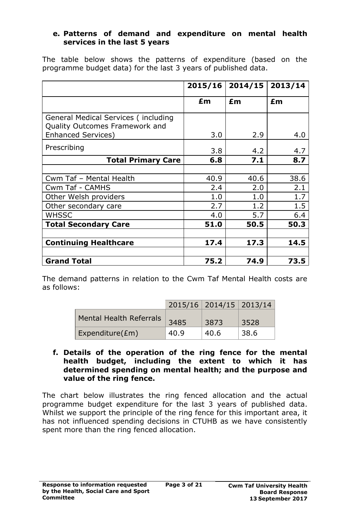### **e. Patterns of demand and expenditure on mental health services in the last 5 years**

The table below shows the patterns of expenditure (based on the programme budget data) for the last 3 years of published data.

|                                                                       | 2015/16 | 2014/15 | 2013/14 |
|-----------------------------------------------------------------------|---------|---------|---------|
|                                                                       | £m      | £m      | £m      |
| General Medical Services (including<br>Quality Outcomes Framework and |         |         |         |
| <b>Enhanced Services)</b>                                             | 3.0     | 2.9     | 4.0     |
| Prescribing                                                           | 3.8     | 4.2     | 4.7     |
| <b>Total Primary Care</b>                                             | 6.8     | 7.1     | 8.7     |
|                                                                       |         |         |         |
| Cwm Taf - Mental Health                                               | 40.9    | 40.6    | 38.6    |
| Cwm Taf - CAMHS                                                       | 2.4     | 2.0     | 2.1     |
| Other Welsh providers                                                 | 1.0     | 1.0     | 1.7     |
| Other secondary care                                                  | 2.7     | 1.2     | 1.5     |
| <b>WHSSC</b>                                                          | 4.0     | 5.7     | 6.4     |
| <b>Total Secondary Care</b>                                           | 51.0    | 50.5    | 50.3    |
|                                                                       |         |         |         |
| <b>Continuing Healthcare</b>                                          | 17.4    | 17.3    | 14.5    |
| <b>Grand Total</b>                                                    | 75.2    | 74.9    | 73.5    |

The demand patterns in relation to the Cwm Taf Mental Health costs are as follows:

|                                |      | 2015/16 2014/15 2013/14 |      |
|--------------------------------|------|-------------------------|------|
| <b>Mental Health Referrals</b> | 3485 | 3873                    | 3528 |
| Expenditure $(\text{Em})$      | 40.9 | 40.6                    | 38.6 |

#### **f. Details of the operation of the ring fence for the mental health budget, including the extent to which it has determined spending on mental health; and the purpose and value of the ring fence.**

The chart below illustrates the ring fenced allocation and the actual programme budget expenditure for the last 3 years of published data. Whilst we support the principle of the ring fence for this important area, it has not influenced spending decisions in CTUHB as we have consistently spent more than the ring fenced allocation.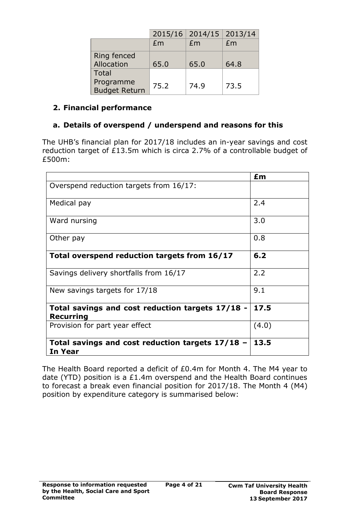|                                                   |      | 2015/16 2014/15 2013/14 |                |
|---------------------------------------------------|------|-------------------------|----------------|
|                                                   | Em   | Em                      | f <sub>m</sub> |
| Ring fenced<br>Allocation                         | 65.0 | 65.0                    | 64.8           |
| <b>Total</b><br>Programme<br><b>Budget Return</b> | 75.2 | 74.9                    | 73.5           |

## **2. Financial performance**

## **a. Details of overspend / underspend and reasons for this**

The UHB's financial plan for 2017/18 includes an in-year savings and cost reduction target of £13.5m which is circa 2.7% of a controllable budget of £500m:

|                                                                      | £m    |
|----------------------------------------------------------------------|-------|
| Overspend reduction targets from 16/17:                              |       |
| Medical pay                                                          | 2.4   |
| Ward nursing                                                         | 3.0   |
| Other pay                                                            | 0.8   |
| Total overspend reduction targets from 16/17                         | $6.2$ |
| Savings delivery shortfalls from 16/17                               | 2.2   |
| New savings targets for 17/18                                        | 9.1   |
| Total savings and cost reduction targets 17/18 -<br><b>Recurring</b> | 17.5  |
| Provision for part year effect                                       | (4.0) |
| Total savings and cost reduction targets 17/18 -<br><b>In Year</b>   | 13.5  |

The Health Board reported a deficit of £0.4m for Month 4. The M4 year to date (YTD) position is a £1.4m overspend and the Health Board continues to forecast a break even financial position for 2017/18. The Month 4 (M4) position by expenditure category is summarised below: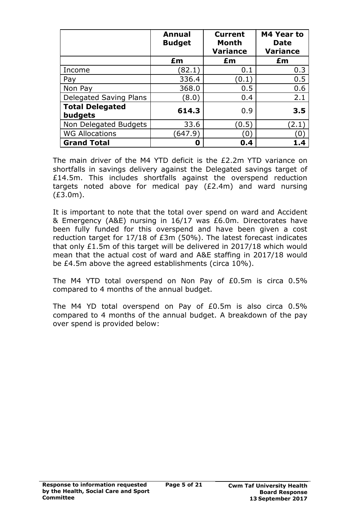|                                   | <b>Annual</b><br><b>Budget</b> | <b>Current</b><br><b>Month</b><br><b>Variance</b> | M4 Year to<br><b>Date</b><br><b>Variance</b> |
|-----------------------------------|--------------------------------|---------------------------------------------------|----------------------------------------------|
|                                   | £m                             | Em                                                | £m                                           |
| Income                            | (82.1)                         | 0.1                                               | 0.3                                          |
| Pay                               | 336.4                          | (0.1)                                             | 0.5                                          |
| Non Pay                           | 368.0                          | 0.5                                               | 0.6                                          |
| Delegated Saving Plans            | (8.0)                          | 0.4                                               | 2.1                                          |
| <b>Total Delegated</b><br>budgets | 614.3                          | 0.9                                               | 3.5                                          |
| Non Delegated Budgets             | 33.6                           | (0.5)                                             | [2.1]                                        |
| <b>WG Allocations</b>             | (647.9)                        | (0)                                               | U                                            |
| <b>Grand Total</b>                |                                | 0.4                                               |                                              |

The main driver of the M4 YTD deficit is the £2.2m YTD variance on shortfalls in savings delivery against the Delegated savings target of £14.5m. This includes shortfalls against the overspend reduction targets noted above for medical pay (£2.4m) and ward nursing (£3.0m).

It is important to note that the total over spend on ward and Accident & Emergency (A&E) nursing in 16/17 was £6.0m. Directorates have been fully funded for this overspend and have been given a cost reduction target for 17/18 of £3m (50%). The latest forecast indicates that only £1.5m of this target will be delivered in 2017/18 which would mean that the actual cost of ward and A&E staffing in 2017/18 would be £4.5m above the agreed establishments (circa 10%).

The M4 YTD total overspend on Non Pay of £0.5m is circa 0.5% compared to 4 months of the annual budget.

The M4 YD total overspend on Pay of £0.5m is also circa 0.5% compared to 4 months of the annual budget. A breakdown of the pay over spend is provided below: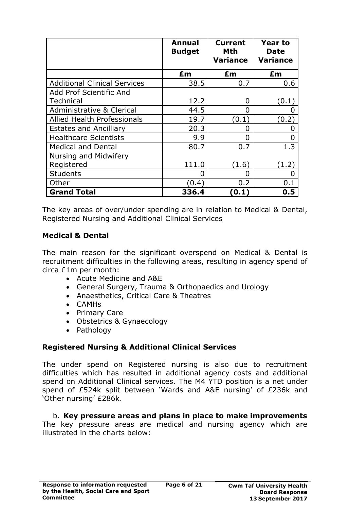|                                      | <b>Annual</b><br><b>Budget</b> | <b>Current</b><br><b>Mth</b><br><b>Variance</b> | <b>Year to</b><br><b>Date</b><br><b>Variance</b> |
|--------------------------------------|--------------------------------|-------------------------------------------------|--------------------------------------------------|
|                                      | £m                             | £m                                              | £m                                               |
| <b>Additional Clinical Services</b>  | 38.5                           | 0.7                                             | 0.6                                              |
| Add Prof Scientific And              |                                |                                                 |                                                  |
| <b>Technical</b>                     | 12.2                           | 0                                               | (0.1)                                            |
| <b>Administrative &amp; Clerical</b> | 44.5                           | 0                                               | 0                                                |
| <b>Allied Health Professionals</b>   | 19.7                           | (0.1)                                           | (0.2)                                            |
| <b>Estates and Ancilliary</b>        | 20.3                           | O                                               |                                                  |
| <b>Healthcare Scientists</b>         | 9.9                            | O                                               |                                                  |
| <b>Medical and Dental</b>            | 80.7                           | 0.7                                             | 1.3                                              |
| Nursing and Midwifery                |                                |                                                 |                                                  |
| Registered                           | 111.0                          | (1.6)                                           | (1.2)                                            |
| <b>Students</b>                      | 0                              | O                                               |                                                  |
| Other                                | (0.4)                          | 0.2                                             | 0.1                                              |
| <b>Grand Total</b>                   | 336.4                          | (0.1)                                           | 0.5                                              |

The key areas of over/under spending are in relation to Medical & Dental, Registered Nursing and Additional Clinical Services

## **Medical & Dental**

The main reason for the significant overspend on Medical & Dental is recruitment difficulties in the following areas, resulting in agency spend of circa £1m per month:

- Acute Medicine and A&E
- General Surgery, Trauma & Orthopaedics and Urology
- Anaesthetics, Critical Care & Theatres
- CAMHs
- Primary Care
- Obstetrics & Gynaecology
- Pathology

## **Registered Nursing & Additional Clinical Services**

The under spend on Registered nursing is also due to recruitment difficulties which has resulted in additional agency costs and additional spend on Additional Clinical services. The M4 YTD position is a net under spend of £524k split between 'Wards and A&E nursing' of £236k and 'Other nursing' £286k.

b. **Key pressure areas and plans in place to make improvements** The key pressure areas are medical and nursing agency which are illustrated in the charts below: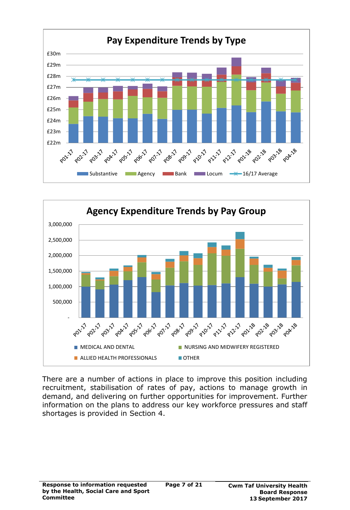



There are a number of actions in place to improve this position including recruitment, stabilisation of rates of pay, actions to manage growth in demand, and delivering on further opportunities for improvement. Further information on the plans to address our key workforce pressures and staff shortages is provided in Section 4.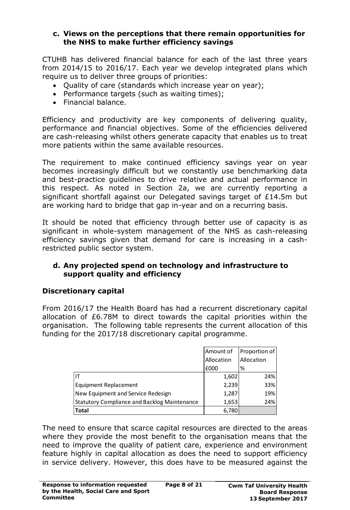### **c. Views on the perceptions that there remain opportunities for the NHS to make further efficiency savings**

CTUHB has delivered financial balance for each of the last three years from 2014/15 to 2016/17. Each year we develop integrated plans which require us to deliver three groups of priorities:

- Quality of care (standards which increase year on year);
- Performance targets (such as waiting times);
- Financial balance.

Efficiency and productivity are key components of delivering quality, performance and financial objectives. Some of the efficiencies delivered are cash-releasing whilst others generate capacity that enables us to treat more patients within the same available resources.

The requirement to make continued efficiency savings year on year becomes increasingly difficult but we constantly use benchmarking data and best-practice guidelines to drive relative and actual performance in this respect. As noted in Section 2a, we are currently reporting a significant shortfall against our Delegated savings target of £14.5m but are working hard to bridge that gap in-year and on a recurring basis.

It should be noted that efficiency through better use of capacity is as significant in whole-system management of the NHS as cash-releasing efficiency savings given that demand for care is increasing in a cashrestricted public sector system.

## **d. Any projected spend on technology and infrastructure to support quality and efficiency**

# **Discretionary capital**

From 2016/17 the Health Board has had a recurrent discretionary capital allocation of £6.78M to direct towards the capital priorities within the organisation. The following table represents the current allocation of this funding for the 2017/18 discretionary capital programme.

|                                                     | Amount of  | Proportion of |
|-----------------------------------------------------|------------|---------------|
|                                                     | Allocation | Allocation    |
|                                                     | £000       | %             |
|                                                     | 1,602      | 24%           |
| <b>Equipment Replacement</b>                        | 2,239      | 33%           |
| New Equipment and Service Redesign                  | 1,287      | 19%           |
| <b>Statutory Compliance and Backlog Maintenance</b> | 1,653      | 24%           |
| <b>Total</b>                                        | 6,780      |               |

The need to ensure that scarce capital resources are directed to the areas where they provide the most benefit to the organisation means that the need to improve the quality of patient care, experience and environment feature highly in capital allocation as does the need to support efficiency in service delivery. However, this does have to be measured against the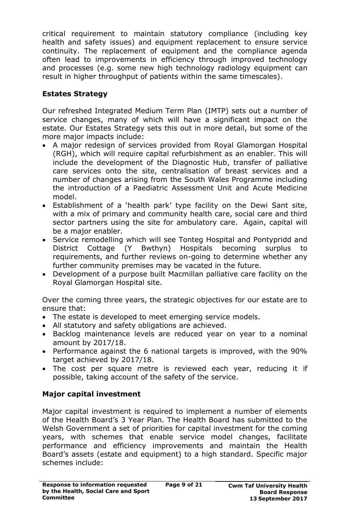critical requirement to maintain statutory compliance (including key health and safety issues) and equipment replacement to ensure service continuity. The replacement of equipment and the compliance agenda often lead to improvements in efficiency through improved technology and processes (e.g. some new high technology radiology equipment can result in higher throughput of patients within the same timescales).

# **Estates Strategy**

Our refreshed Integrated Medium Term Plan (IMTP) sets out a number of service changes, many of which will have a significant impact on the estate. Our Estates Strategy sets this out in more detail, but some of the more major impacts include:

- A major redesign of services provided from Royal Glamorgan Hospital (RGH), which will require capital refurbishment as an enabler. This will include the development of the Diagnostic Hub, transfer of palliative care services onto the site, centralisation of breast services and a number of changes arising from the South Wales Programme including the introduction of a Paediatric Assessment Unit and Acute Medicine model.
- Establishment of a 'health park' type facility on the Dewi Sant site, with a mix of primary and community health care, social care and third sector partners using the site for ambulatory care. Again, capital will be a major enabler.
- Service remodelling which will see Tonteg Hospital and Pontypridd and District Cottage (Y Bwthyn) Hospitals becoming surplus to requirements, and further reviews on-going to determine whether any further community premises may be vacated in the future.
- Development of a purpose built Macmillan palliative care facility on the Royal Glamorgan Hospital site.

Over the coming three years, the strategic objectives for our estate are to ensure that:

- The estate is developed to meet emerging service models.
- All statutory and safety obligations are achieved.
- Backlog maintenance levels are reduced year on year to a nominal amount by 2017/18.
- Performance against the 6 national targets is improved, with the 90% target achieved by 2017/18.
- The cost per square metre is reviewed each year, reducing it if possible, taking account of the safety of the service.

# **Major capital investment**

Major capital investment is required to implement a number of elements of the Health Board's 3 Year Plan. The Health Board has submitted to the Welsh Government a set of priorities for capital investment for the coming years, with schemes that enable service model changes, facilitate performance and efficiency improvements and maintain the Health Board's assets (estate and equipment) to a high standard. Specific major schemes include: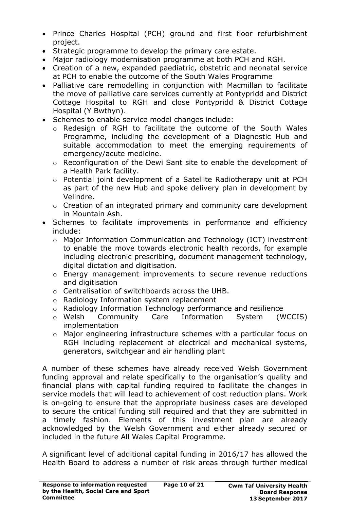- Prince Charles Hospital (PCH) ground and first floor refurbishment project.
- Strategic programme to develop the primary care estate.
- Major radiology modernisation programme at both PCH and RGH.
- Creation of a new, expanded paediatric, obstetric and neonatal service at PCH to enable the outcome of the South Wales Programme
- Palliative care remodelling in conjunction with Macmillan to facilitate the move of palliative care services currently at Pontypridd and District Cottage Hospital to RGH and close Pontypridd & District Cottage Hospital (Y Bwthyn).
- Schemes to enable service model changes include:
	- o Redesign of RGH to facilitate the outcome of the South Wales Programme, including the development of a Diagnostic Hub and suitable accommodation to meet the emerging requirements of emergency/acute medicine.
	- o Reconfiguration of the Dewi Sant site to enable the development of a Health Park facility.
	- o Potential joint development of a Satellite Radiotherapy unit at PCH as part of the new Hub and spoke delivery plan in development by Velindre.
	- o Creation of an integrated primary and community care development in Mountain Ash.
- Schemes to facilitate improvements in performance and efficiency include:
	- o Major Information Communication and Technology (ICT) investment to enable the move towards electronic health records, for example including electronic prescribing, document management technology, digital dictation and digitisation.
	- o Energy management improvements to secure revenue reductions and digitisation
	- o Centralisation of switchboards across the UHB.
	- o Radiology Information system replacement
	- o Radiology Information Technology performance and resilience
	- o Welsh Community Care Information System (WCCIS) implementation
	- o Major engineering infrastructure schemes with a particular focus on RGH including replacement of electrical and mechanical systems, generators, switchgear and air handling plant

A number of these schemes have already received Welsh Government funding approval and relate specifically to the organisation's quality and financial plans with capital funding required to facilitate the changes in service models that will lead to achievement of cost reduction plans. Work is on-going to ensure that the appropriate business cases are developed to secure the critical funding still required and that they are submitted in a timely fashion. Elements of this investment plan are already acknowledged by the Welsh Government and either already secured or included in the future All Wales Capital Programme.

A significant level of additional capital funding in 2016/17 has allowed the Health Board to address a number of risk areas through further medical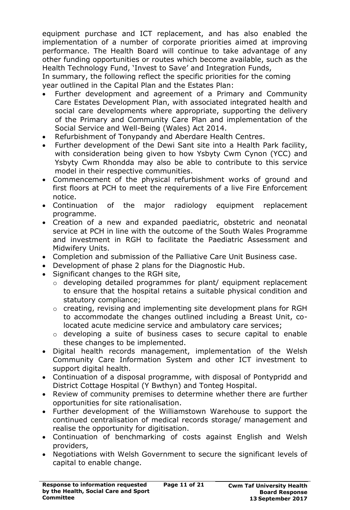equipment purchase and ICT replacement, and has also enabled the implementation of a number of corporate priorities aimed at improving performance. The Health Board will continue to take advantage of any other funding opportunities or routes which become available, such as the Health Technology Fund, 'Invest to Save' and Integration Funds,

In summary, the following reflect the specific priorities for the coming year outlined in the Capital Plan and the Estates Plan:

- Further development and agreement of a Primary and Community Care Estates Development Plan, with associated integrated health and social care developments where appropriate, supporting the delivery of the Primary and Community Care Plan and implementation of the Social Service and Well-Being (Wales) Act 2014.
- Refurbishment of Tonypandy and Aberdare Health Centres.
- Further development of the Dewi Sant site into a Health Park facility, with consideration being given to how Ysbyty Cwm Cynon (YCC) and Ysbyty Cwm Rhondda may also be able to contribute to this service model in their respective communities.
- Commencement of the physical refurbishment works of ground and first floors at PCH to meet the requirements of a live Fire Enforcement notice.
- Continuation of the major radiology equipment replacement programme.
- Creation of a new and expanded paediatric, obstetric and neonatal service at PCH in line with the outcome of the South Wales Programme and investment in RGH to facilitate the Paediatric Assessment and Midwifery Units.
- Completion and submission of the Palliative Care Unit Business case.
- Development of phase 2 plans for the Diagnostic Hub.
- Significant changes to the RGH site,
	- o developing detailed programmes for plant/ equipment replacement to ensure that the hospital retains a suitable physical condition and statutory compliance;
	- o creating, revising and implementing site development plans for RGH to accommodate the changes outlined including a Breast Unit, colocated acute medicine service and ambulatory care services;
	- o developing a suite of business cases to secure capital to enable these changes to be implemented.
- Digital health records management, implementation of the Welsh Community Care Information System and other ICT investment to support digital health.
- Continuation of a disposal programme, with disposal of Pontypridd and District Cottage Hospital (Y Bwthyn) and Tonteg Hospital.
- Review of community premises to determine whether there are further opportunities for site rationalisation.
- Further development of the Williamstown Warehouse to support the continued centralisation of medical records storage/ management and realise the opportunity for digitisation.
- Continuation of benchmarking of costs against English and Welsh providers,
- Negotiations with Welsh Government to secure the significant levels of capital to enable change.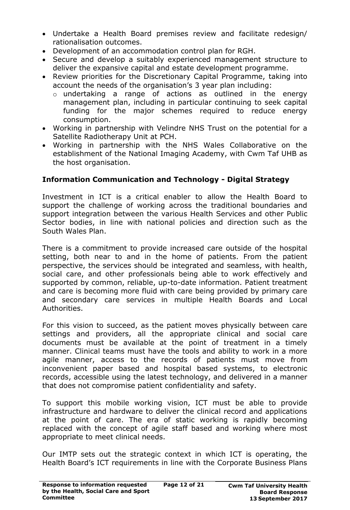- Undertake a Health Board premises review and facilitate redesign/ rationalisation outcomes.
- Development of an accommodation control plan for RGH.
- Secure and develop a suitably experienced management structure to deliver the expansive capital and estate development programme.
- Review priorities for the Discretionary Capital Programme, taking into account the needs of the organisation's 3 year plan including:
	- $\circ$  undertaking a range of actions as outlined in the energy management plan, including in particular continuing to seek capital funding for the major schemes required to reduce energy consumption.
- Working in partnership with Velindre NHS Trust on the potential for a Satellite Radiotherapy Unit at PCH.
- Working in partnership with the NHS Wales Collaborative on the establishment of the National Imaging Academy, with Cwm Taf UHB as the host organisation.

# **Information Communication and Technology - Digital Strategy**

Investment in ICT is a critical enabler to allow the Health Board to support the challenge of working across the traditional boundaries and support integration between the various Health Services and other Public Sector bodies, in line with national policies and direction such as the South Wales Plan.

There is a commitment to provide increased care outside of the hospital setting, both near to and in the home of patients. From the patient perspective, the services should be integrated and seamless, with health, social care, and other professionals being able to work effectively and supported by common, reliable, up-to-date information. Patient treatment and care is becoming more fluid with care being provided by primary care and secondary care services in multiple Health Boards and Local Authorities.

For this vision to succeed, as the patient moves physically between care settings and providers, all the appropriate clinical and social care documents must be available at the point of treatment in a timely manner. Clinical teams must have the tools and ability to work in a more agile manner, access to the records of patients must move from inconvenient paper based and hospital based systems, to electronic records, accessible using the latest technology, and delivered in a manner that does not compromise patient confidentiality and safety.

To support this mobile working vision, ICT must be able to provide infrastructure and hardware to deliver the clinical record and applications at the point of care. The era of static working is rapidly becoming replaced with the concept of agile staff based and working where most appropriate to meet clinical needs.

Our IMTP sets out the strategic context in which ICT is operating, the Health Board's ICT requirements in line with the Corporate Business Plans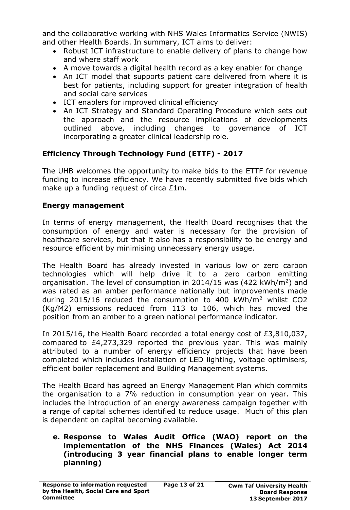and the collaborative working with NHS Wales Informatics Service (NWIS) and other Health Boards. In summary, ICT aims to deliver:

- Robust ICT infrastructure to enable delivery of plans to change how and where staff work
- A move towards a digital health record as a key enabler for change
- An ICT model that supports patient care delivered from where it is best for patients, including support for greater integration of health and social care services
- ICT enablers for improved clinical efficiency
- An ICT Strategy and Standard Operating Procedure which sets out the approach and the resource implications of developments outlined above, including changes to governance of ICT incorporating a greater clinical leadership role.

# **Efficiency Through Technology Fund (ETTF) - 2017**

The UHB welcomes the opportunity to make bids to the ETTF for revenue funding to increase efficiency. We have recently submitted five bids which make up a funding request of circa £1m.

# **Energy management**

In terms of energy management, the Health Board recognises that the consumption of energy and water is necessary for the provision of healthcare services, but that it also has a responsibility to be energy and resource efficient by minimising unnecessary energy usage.

The Health Board has already invested in various low or zero carbon technologies which will help drive it to a zero carbon emitting organisation. The level of consumption in 2014/15 was (422 kWh/m<sup>2</sup>) and was rated as an amber performance nationally but improvements made during 2015/16 reduced the consumption to 400 kWh/m<sup>2</sup> whilst CO2 (Kg/M2) emissions reduced from 113 to 106, which has moved the position from an amber to a green national performance indicator.

In 2015/16, the Health Board recorded a total energy cost of £3,810,037, compared to £4,273,329 reported the previous year. This was mainly attributed to a number of energy efficiency projects that have been completed which includes installation of LED lighting, voltage optimisers, efficient boiler replacement and Building Management systems.

The Health Board has agreed an Energy Management Plan which commits the organisation to a 7% reduction in consumption year on year. This includes the introduction of an energy awareness campaign together with a range of capital schemes identified to reduce usage. Much of this plan is dependent on capital becoming available.

**e. Response to Wales Audit Office (WAO) report on the implementation of the NHS Finances (Wales) Act 2014 (introducing 3 year financial plans to enable longer term planning)**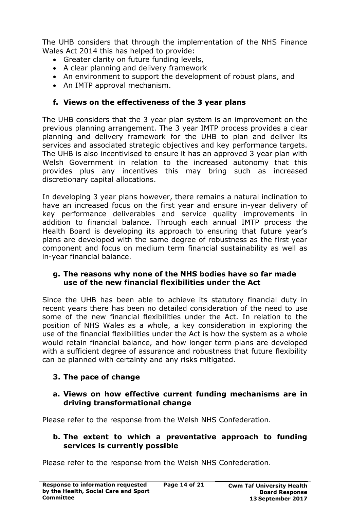The UHB considers that through the implementation of the NHS Finance Wales Act 2014 this has helped to provide:

- Greater clarity on future funding levels,
- A clear planning and delivery framework
- An environment to support the development of robust plans, and
- An IMTP approval mechanism.

## **f. Views on the effectiveness of the 3 year plans**

The UHB considers that the 3 year plan system is an improvement on the previous planning arrangement. The 3 year IMTP process provides a clear planning and delivery framework for the UHB to plan and deliver its services and associated strategic objectives and key performance targets. The UHB is also incentivised to ensure it has an approved 3 year plan with Welsh Government in relation to the increased autonomy that this provides plus any incentives this may bring such as increased discretionary capital allocations.

In developing 3 year plans however, there remains a natural inclination to have an increased focus on the first year and ensure in-year delivery of key performance deliverables and service quality improvements in addition to financial balance. Through each annual IMTP process the Health Board is developing its approach to ensuring that future year's plans are developed with the same degree of robustness as the first year component and focus on medium term financial sustainability as well as in-year financial balance.

#### **g. The reasons why none of the NHS bodies have so far made use of the new financial flexibilities under the Act**

Since the UHB has been able to achieve its statutory financial duty in recent years there has been no detailed consideration of the need to use some of the new financial flexibilities under the Act. In relation to the position of NHS Wales as a whole, a key consideration in exploring the use of the financial flexibilities under the Act is how the system as a whole would retain financial balance, and how longer term plans are developed with a sufficient degree of assurance and robustness that future flexibility can be planned with certainty and any risks mitigated.

# **3. The pace of change**

### **a. Views on how effective current funding mechanisms are in driving transformational change**

Please refer to the response from the Welsh NHS Confederation.

### **b. The extent to which a preventative approach to funding services is currently possible**

Please refer to the response from the Welsh NHS Confederation.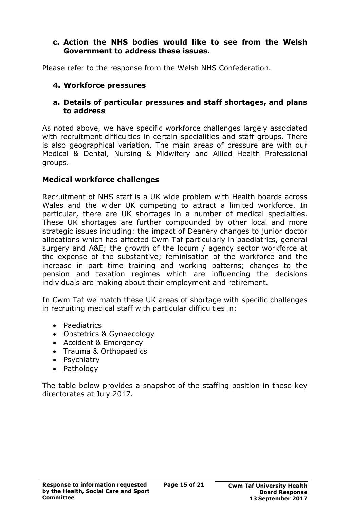### **c. Action the NHS bodies would like to see from the Welsh Government to address these issues.**

Please refer to the response from the Welsh NHS Confederation.

### **4. Workforce pressures**

### **a. Details of particular pressures and staff shortages, and plans to address**

As noted above, we have specific workforce challenges largely associated with recruitment difficulties in certain specialities and staff groups. There is also geographical variation. The main areas of pressure are with our Medical & Dental, Nursing & Midwifery and Allied Health Professional groups.

## **Medical workforce challenges**

Recruitment of NHS staff is a UK wide problem with Health boards across Wales and the wider UK competing to attract a limited workforce. In particular, there are UK shortages in a number of medical specialties. These UK shortages are further compounded by other local and more strategic issues including: the impact of Deanery changes to junior doctor allocations which has affected Cwm Taf particularly in paediatrics, general surgery and A&E; the growth of the locum / agency sector workforce at the expense of the substantive; feminisation of the workforce and the increase in part time training and working patterns; changes to the pension and taxation regimes which are influencing the decisions individuals are making about their employment and retirement.

In Cwm Taf we match these UK areas of shortage with specific challenges in recruiting medical staff with particular difficulties in:

- Paediatrics
- Obstetrics & Gynaecology
- Accident & Emergency
- Trauma & Orthopaedics
- Psychiatry
- Pathology

The table below provides a snapshot of the staffing position in these key directorates at July 2017.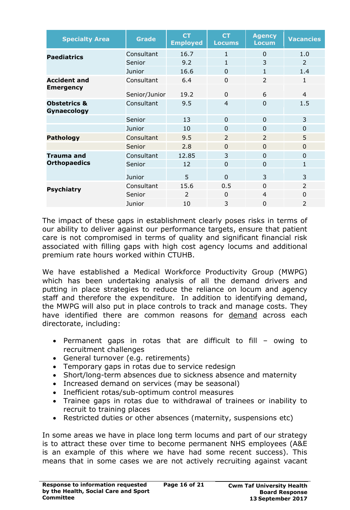| <b>Specialty Area</b>                  | <b>Grade</b>  | <b>CT</b><br><b>Employed</b> | <b>CT</b><br><b>Locums</b> | <b>Agency</b><br><b>Locum</b> | <b>Vacancies</b> |
|----------------------------------------|---------------|------------------------------|----------------------------|-------------------------------|------------------|
| <b>Paediatrics</b>                     | Consultant    | 16.7                         | $\mathbf{1}$               | $\mathbf 0$                   | 1.0              |
|                                        | Senior        | 9.2                          | 1                          | 3                             | 2                |
|                                        | Junior        | 16.6                         | $\overline{0}$             | 1                             | 1.4              |
| <b>Accident and</b>                    | Consultant    | 6.4                          | $\Omega$                   | $\overline{2}$                | $\mathbf{1}$     |
| <b>Emergency</b>                       | Senior/Junior | 19.2                         | $\Omega$                   | 6                             | 4                |
| <b>Obstetrics &amp;</b><br>Gynaecology | Consultant    | 9.5                          | $\overline{4}$             | $\Omega$                      | 1.5              |
|                                        | Senior        | 13                           | $\mathbf 0$                | $\mathbf 0$                   | 3                |
|                                        | Junior        | 10                           | $\Omega$                   | $\mathbf 0$                   | $\Omega$         |
| <b>Pathology</b>                       | Consultant    | 9.5                          | $\overline{2}$             | 2                             | 5                |
|                                        | Senior        | 2.8                          | $\Omega$                   | $\Omega$                      | $\Omega$         |
| <b>Trauma and</b>                      | Consultant    | 12.85                        | 3                          | $\Omega$                      | $\overline{0}$   |
| <b>Orthopaedics</b>                    | Senior        | 12                           | $\overline{0}$             | $\overline{0}$                | 1                |
|                                        | Junior        | 5                            | $\overline{0}$             | 3                             | 3                |
| <b>Psychiatry</b>                      | Consultant    | 15.6                         | 0.5                        | $\Omega$                      | $\overline{2}$   |
|                                        | Senior        | $\overline{2}$               | $\Omega$                   | $\overline{4}$                | $\Omega$         |
|                                        | Junior        | 10                           | 3                          | $\overline{0}$                | $\overline{2}$   |

The impact of these gaps in establishment clearly poses risks in terms of our ability to deliver against our performance targets, ensure that patient care is not compromised in terms of quality and significant financial risk associated with filling gaps with high cost agency locums and additional premium rate hours worked within CTUHB.

We have established a Medical Workforce Productivity Group (MWPG) which has been undertaking analysis of all the demand drivers and putting in place strategies to reduce the reliance on locum and agency staff and therefore the expenditure. In addition to identifying demand, the MWPG will also put in place controls to track and manage costs. They have identified there are common reasons for demand across each directorate, including:

- Permanent gaps in rotas that are difficult to fill owing to recruitment challenges
- General turnover (e.g. retirements)
- Temporary gaps in rotas due to service redesign
- Short/long-term absences due to sickness absence and maternity
- Increased demand on services (may be seasonal)
- Inefficient rotas/sub-optimum control measures
- Trainee gaps in rotas due to withdrawal of trainees or inability to recruit to training places
- Restricted duties or other absences (maternity, suspensions etc)

In some areas we have in place long term locums and part of our strategy is to attract these over time to become permanent NHS employees (A&E is an example of this where we have had some recent success). This means that in some cases we are not actively recruiting against vacant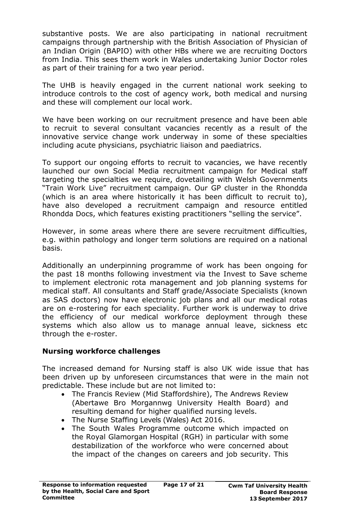substantive posts. We are also participating in national recruitment campaigns through partnership with the British Association of Physician of an Indian Origin (BAPIO) with other HBs where we are recruiting Doctors from India. This sees them work in Wales undertaking Junior Doctor roles as part of their training for a two year period.

The UHB is heavily engaged in the current national work seeking to introduce controls to the cost of agency work, both medical and nursing and these will complement our local work.

We have been working on our recruitment presence and have been able to recruit to several consultant vacancies recently as a result of the innovative service change work underway in some of these specialties including acute physicians, psychiatric liaison and paediatrics.

To support our ongoing efforts to recruit to vacancies, we have recently launched our own Social Media recruitment campaign for Medical staff targeting the specialties we require, dovetailing with Welsh Governments "Train Work Live" recruitment campaign. Our GP cluster in the Rhondda (which is an area where historically it has been difficult to recruit to), have also developed a recruitment campaign and resource entitled Rhondda Docs, which features existing practitioners "selling the service".

However, in some areas where there are severe recruitment difficulties, e.g. within pathology and longer term solutions are required on a national basis.

Additionally an underpinning programme of work has been ongoing for the past 18 months following investment via the Invest to Save scheme to implement electronic rota management and job planning systems for medical staff. All consultants and Staff grade/Associate Specialists (known as SAS doctors) now have electronic job plans and all our medical rotas are on e-rostering for each speciality. Further work is underway to drive the efficiency of our medical workforce deployment through these systems which also allow us to manage annual leave, sickness etc through the e-roster.

## **Nursing workforce challenges**

The increased demand for Nursing staff is also UK wide issue that has been driven up by unforeseen circumstances that were in the main not predictable. These include but are not limited to:

- The Francis Review (Mid Staffordshire), The Andrews Review (Abertawe Bro Morgannwg University Health Board) and resulting demand for higher qualified nursing levels.
- The Nurse Staffing Levels (Wales) Act 2016.
- The South Wales Programme outcome which impacted on the Royal Glamorgan Hospital (RGH) in particular with some destabilization of the workforce who were concerned about the impact of the changes on careers and job security. This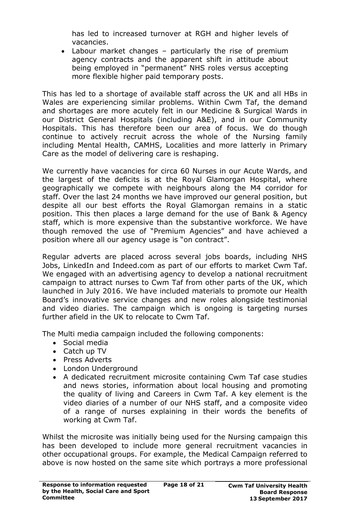has led to increased turnover at RGH and higher levels of vacancies.

 Labour market changes – particularly the rise of premium agency contracts and the apparent shift in attitude about being employed in "permanent" NHS roles versus accepting more flexible higher paid temporary posts.

This has led to a shortage of available staff across the UK and all HBs in Wales are experiencing similar problems. Within Cwm Taf, the demand and shortages are more acutely felt in our Medicine & Surgical Wards in our District General Hospitals (including A&E), and in our Community Hospitals. This has therefore been our area of focus. We do though continue to actively recruit across the whole of the Nursing family including Mental Health, CAMHS, Localities and more latterly in Primary Care as the model of delivering care is reshaping.

We currently have vacancies for circa 60 Nurses in our Acute Wards, and the largest of the deficits is at the Royal Glamorgan Hospital, where geographically we compete with neighbours along the M4 corridor for staff. Over the last 24 months we have improved our general position, but despite all our best efforts the Royal Glamorgan remains in a static position. This then places a large demand for the use of Bank & Agency staff, which is more expensive than the substantive workforce. We have though removed the use of "Premium Agencies" and have achieved a position where all our agency usage is "on contract".

Regular adverts are placed across several jobs boards, including NHS Jobs, LinkedIn and Indeed.com as part of our efforts to market Cwm Taf. We engaged with an advertising agency to develop a national recruitment campaign to attract nurses to Cwm Taf from other parts of the UK, which launched in July 2016. We have included materials to promote our Health Board's innovative service changes and new roles alongside testimonial and video diaries. The campaign which is ongoing is targeting nurses further afield in the UK to relocate to Cwm Taf.

The Multi media campaign included the following components:

- Social media
- Catch up TV
- Press Adverts
- London Underground
- A dedicated recruitment microsite containing Cwm Taf case studies and news stories, information about local housing and promoting the quality of living and Careers in Cwm Taf. A key element is the video diaries of a number of our NHS staff, and a composite video of a range of nurses explaining in their words the benefits of working at Cwm Taf.

Whilst the microsite was initially being used for the Nursing campaign this has been developed to include more general recruitment vacancies in other occupational groups. For example, the Medical Campaign referred to above is now hosted on the same site which portrays a more professional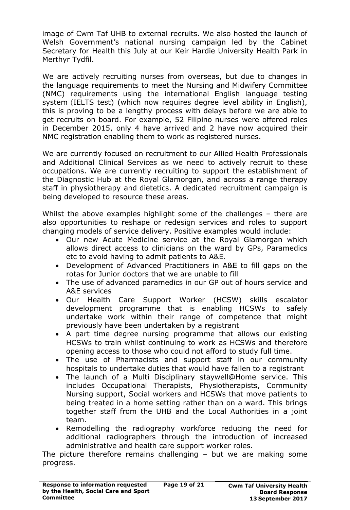image of Cwm Taf UHB to external recruits. We also hosted the launch of Welsh Government's national nursing campaign led by the Cabinet Secretary for Health this July at our Keir Hardie University Health Park in Merthyr Tydfil.

We are actively recruiting nurses from overseas, but due to changes in the language requirements to meet the Nursing and Midwifery Committee (NMC) requirements using the international English language testing system (IELTS test) (which now requires degree level ability in English), this is proving to be a lengthy process with delays before we are able to get recruits on board. For example, 52 Filipino nurses were offered roles in December 2015, only 4 have arrived and 2 have now acquired their NMC registration enabling them to work as registered nurses.

We are currently focused on recruitment to our Allied Health Professionals and Additional Clinical Services as we need to actively recruit to these occupations. We are currently recruiting to support the establishment of the Diagnostic Hub at the Royal Glamorgan, and across a range therapy staff in physiotherapy and dietetics. A dedicated recruitment campaign is being developed to resource these areas.

Whilst the above examples highlight some of the challenges – there are also opportunities to reshape or redesign services and roles to support changing models of service delivery. Positive examples would include:

- Our new Acute Medicine service at the Royal Glamorgan which allows direct access to clinicians on the ward by GPs, Paramedics etc to avoid having to admit patients to A&E.
- Development of Advanced Practitioners in A&E to fill gaps on the rotas for Junior doctors that we are unable to fill
- The use of advanced paramedics in our GP out of hours service and A&E services
- Our Health Care Support Worker (HCSW) skills escalator development programme that is enabling HCSWs to safely undertake work within their range of competence that might previously have been undertaken by a registrant
- A part time degree nursing programme that allows our existing HCSWs to train whilst continuing to work as HCSWs and therefore opening access to those who could not afford to study full time.
- The use of Pharmacists and support staff in our community hospitals to undertake duties that would have fallen to a registrant
- The launch of a Multi Disciplinary staywell@Home service. This includes Occupational Therapists, Physiotherapists, Community Nursing support, Social workers and HCSWs that move patients to being treated in a home setting rather than on a ward. This brings together staff from the UHB and the Local Authorities in a joint team.
- Remodelling the radiography workforce reducing the need for additional radiographers through the introduction of increased administrative and health care support worker roles.

The picture therefore remains challenging – but we are making some progress.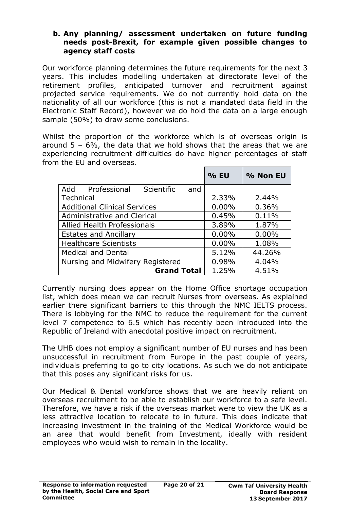### **b. Any planning/ assessment undertaken on future funding needs post-Brexit, for example given possible changes to agency staff costs**

Our workforce planning determines the future requirements for the next 3 years. This includes modelling undertaken at directorate level of the retirement profiles, anticipated turnover and recruitment against projected service requirements. We do not currently hold data on the nationality of all our workforce (this is not a mandated data field in the Electronic Staff Record), however we do hold the data on a large enough sample (50%) to draw some conclusions.

Whilst the proportion of the workforce which is of overseas origin is around  $5 - 6\%$ , the data that we hold shows that the areas that we are experiencing recruitment difficulties do have higher percentages of staff from the EU and overseas.  $\blacksquare$ 

|                                       | <b>% EU</b> | % Non EU |
|---------------------------------------|-------------|----------|
| Add Professional<br>and<br>Scientific |             |          |
| Technical                             | 2.33%       | 2.44%    |
| <b>Additional Clinical Services</b>   | $0.00\%$    | 0.36%    |
| Administrative and Clerical           | 0.45%       | 0.11%    |
| Allied Health Professionals           | 3.89%       | 1.87%    |
| <b>Estates and Ancillary</b>          | $0.00\%$    | $0.00\%$ |
| <b>Healthcare Scientists</b>          | 0.00%       | 1.08%    |
| <b>Medical and Dental</b>             | 5.12%       | 44.26%   |
| Nursing and Midwifery Registered      | 0.98%       | 4.04%    |
| <b>Grand Total</b>                    | 1.25%       | 4.51%    |

Currently nursing does appear on the Home Office shortage occupation list, which does mean we can recruit Nurses from overseas. As explained earlier there significant barriers to this through the NMC IELTS process. There is lobbying for the NMC to reduce the requirement for the current level 7 competence to 6.5 which has recently been introduced into the Republic of Ireland with anecdotal positive impact on recruitment.

The UHB does not employ a significant number of EU nurses and has been unsuccessful in recruitment from Europe in the past couple of years, individuals preferring to go to city locations. As such we do not anticipate that this poses any significant risks for us.

Our Medical & Dental workforce shows that we are heavily reliant on overseas recruitment to be able to establish our workforce to a safe level. Therefore, we have a risk if the overseas market were to view the UK as a less attractive location to relocate to in future. This does indicate that increasing investment in the training of the Medical Workforce would be an area that would benefit from Investment, ideally with resident employees who would wish to remain in the locality.